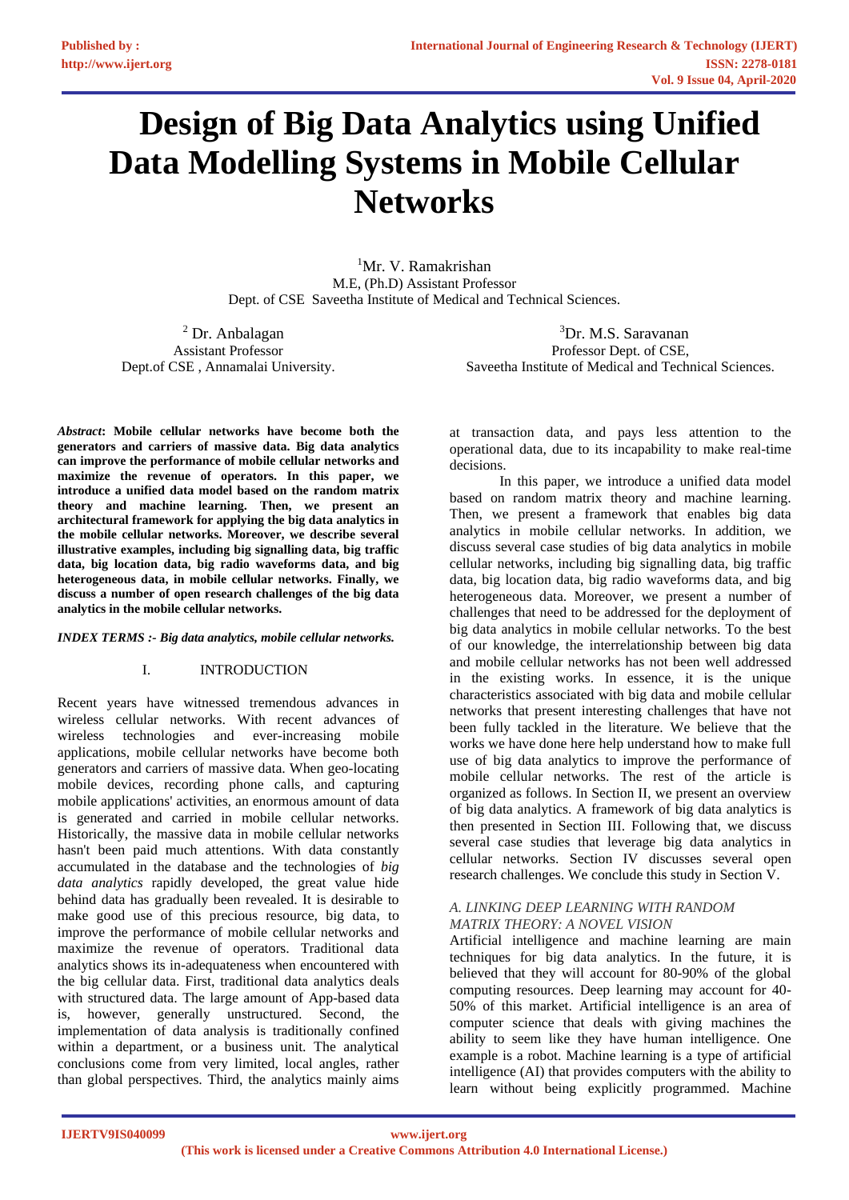# **Design of Big Data Analytics using Unified Data Modelling Systems in Mobile Cellular Networks**

<sup>1</sup>Mr. V. Ramakrishan M.E, (Ph.D) Assistant Professor Dept. of CSE Saveetha Institute of Medical and Technical Sciences.

<sup>2</sup> Dr. Anbalagan Assistant Professor Dept.of CSE , Annamalai University.

<sup>3</sup>Dr. M.S. Saravanan Professor Dept. of CSE, Saveetha Institute of Medical and Technical Sciences.

*Abstract***: Mobile cellular networks have become both the generators and carriers of massive data. Big data analytics can improve the performance of mobile cellular networks and maximize the revenue of operators. In this paper, we introduce a unified data model based on the random matrix theory and machine learning. Then, we present an architectural framework for applying the big data analytics in the mobile cellular networks. Moreover, we describe several illustrative examples, including big signalling data, big traffic data, big location data, big radio waveforms data, and big heterogeneous data, in mobile cellular networks. Finally, we discuss a number of open research challenges of the big data analytics in the mobile cellular networks.** 

#### *INDEX TERMS :- Big data analytics, mobile cellular networks.*

## I. INTRODUCTION

Recent years have witnessed tremendous advances in wireless cellular networks. With recent advances of wireless technologies and ever-increasing mobile applications, mobile cellular networks have become both generators and carriers of massive data. When geo-locating mobile devices, recording phone calls, and capturing mobile applications' activities, an enormous amount of data is generated and carried in mobile cellular networks. Historically, the massive data in mobile cellular networks hasn't been paid much attentions. With data constantly accumulated in the database and the technologies of *big data analytics* rapidly developed, the great value hide behind data has gradually been revealed. It is desirable to make good use of this precious resource, big data, to improve the performance of mobile cellular networks and maximize the revenue of operators. Traditional data analytics shows its in-adequateness when encountered with the big cellular data. First, traditional data analytics deals with structured data. The large amount of App-based data is, however, generally unstructured. Second, the implementation of data analysis is traditionally confined within a department, or a business unit. The analytical conclusions come from very limited, local angles, rather than global perspectives. Third, the analytics mainly aims

at transaction data, and pays less attention to the operational data, due to its incapability to make real-time decisions.

 In this paper, we introduce a unified data model based on random matrix theory and machine learning. Then, we present a framework that enables big data analytics in mobile cellular networks. In addition, we discuss several case studies of big data analytics in mobile cellular networks, including big signalling data, big traffic data, big location data, big radio waveforms data, and big heterogeneous data. Moreover, we present a number of challenges that need to be addressed for the deployment of big data analytics in mobile cellular networks. To the best of our knowledge, the interrelationship between big data and mobile cellular networks has not been well addressed in the existing works. In essence, it is the unique characteristics associated with big data and mobile cellular networks that present interesting challenges that have not been fully tackled in the literature. We believe that the works we have done here help understand how to make full use of big data analytics to improve the performance of mobile cellular networks. The rest of the article is organized as follows. In Section II, we present an overview of big data analytics. A framework of big data analytics is then presented in Section III. Following that, we discuss several case studies that leverage big data analytics in cellular networks. Section IV discusses several open research challenges. We conclude this study in Section V.

## *A. LINKING DEEP LEARNING WITH RANDOM MATRIX THEORY: A NOVEL VISION*

Artificial intelligence and machine learning are main techniques for big data analytics. In the future, it is believed that they will account for 80-90% of the global computing resources. Deep learning may account for 40- 50% of this market. Artificial intelligence is an area of computer science that deals with giving machines the ability to seem like they have human intelligence. One example is a robot. Machine learning is a type of artificial intelligence (AI) that provides computers with the ability to learn without being explicitly programmed. Machine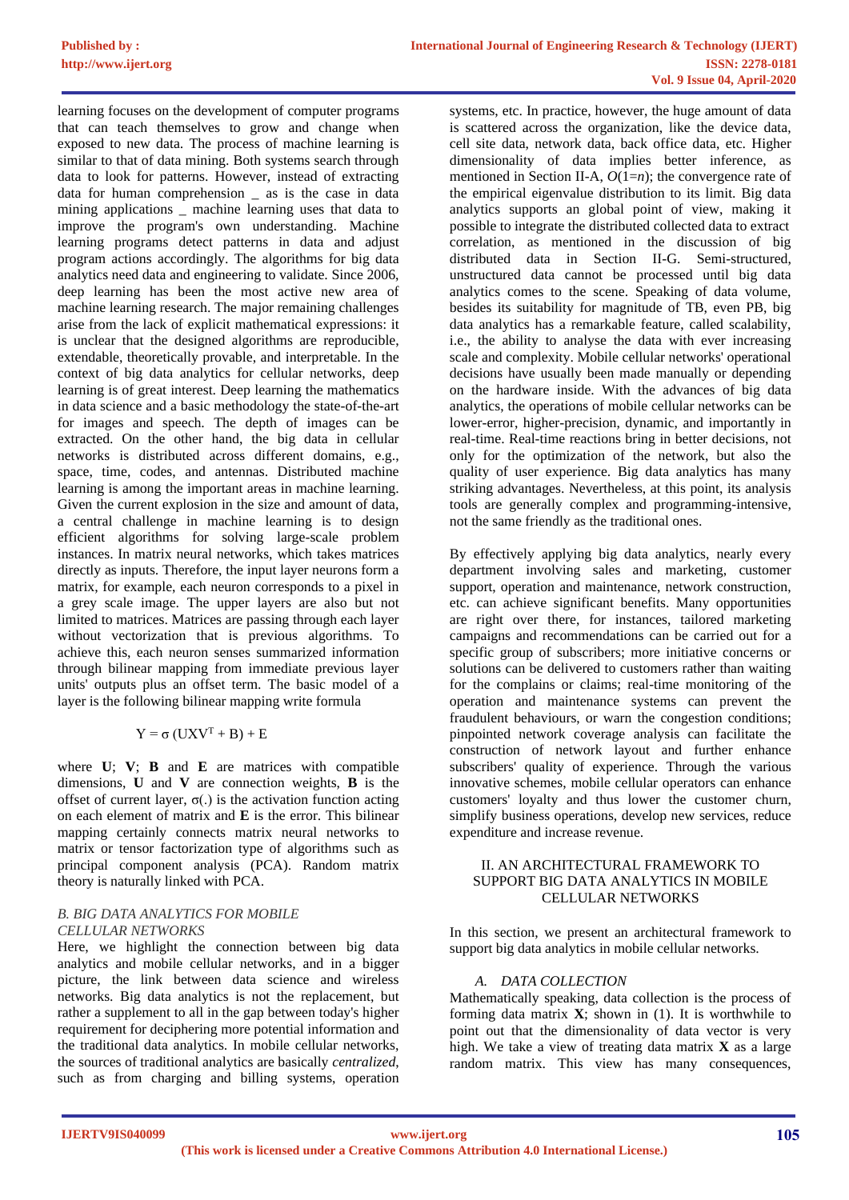learning focuses on the development of computer programs that can teach themselves to grow and change when exposed to new data. The process of machine learning is similar to that of data mining. Both systems search through data to look for patterns. However, instead of extracting data for human comprehension \_ as is the case in data mining applications \_ machine learning uses that data to improve the program's own understanding. Machine learning programs detect patterns in data and adjust program actions accordingly. The algorithms for big data analytics need data and engineering to validate. Since 2006, deep learning has been the most active new area of machine learning research. The major remaining challenges arise from the lack of explicit mathematical expressions: it is unclear that the designed algorithms are reproducible, extendable, theoretically provable, and interpretable. In the context of big data analytics for cellular networks, deep learning is of great interest. Deep learning the mathematics in data science and a basic methodology the state-of-the-art for images and speech. The depth of images can be extracted. On the other hand, the big data in cellular networks is distributed across different domains, e.g., space, time, codes, and antennas. Distributed machine learning is among the important areas in machine learning. Given the current explosion in the size and amount of data, a central challenge in machine learning is to design efficient algorithms for solving large-scale problem instances. In matrix neural networks, which takes matrices directly as inputs. Therefore, the input layer neurons form a matrix, for example, each neuron corresponds to a pixel in a grey scale image. The upper layers are also but not limited to matrices. Matrices are passing through each layer without vectorization that is previous algorithms. To achieve this, each neuron senses summarized information through bilinear mapping from immediate previous layer units' outputs plus an offset term. The basic model of a layer is the following bilinear mapping write formula

# $Y = \sigma (UXV<sup>T</sup> + B) + E$

where **U**; **V**; **B** and **E** are matrices with compatible dimensions, **U** and **V** are connection weights, **B** is the offset of current layer,  $\sigma(.)$  is the activation function acting on each element of matrix and **E** is the error. This bilinear mapping certainly connects matrix neural networks to matrix or tensor factorization type of algorithms such as principal component analysis (PCA). Random matrix theory is naturally linked with PCA.

## *B. BIG DATA ANALYTICS FOR MOBILE CELLULAR NETWORKS*

Here, we highlight the connection between big data analytics and mobile cellular networks, and in a bigger picture, the link between data science and wireless networks. Big data analytics is not the replacement, but rather a supplement to all in the gap between today's higher requirement for deciphering more potential information and the traditional data analytics. In mobile cellular networks, the sources of traditional analytics are basically *centralized*, such as from charging and billing systems, operation

systems, etc. In practice, however, the huge amount of data is scattered across the organization, like the device data, cell site data, network data, back office data, etc. Higher dimensionality of data implies better inference, as mentioned in Section II-A, *O*(1=*n*); the convergence rate of the empirical eigenvalue distribution to its limit. Big data analytics supports an global point of view, making it possible to integrate the distributed collected data to extract correlation, as mentioned in the discussion of big distributed data in Section II-G. Semi-structured, unstructured data cannot be processed until big data analytics comes to the scene. Speaking of data volume, besides its suitability for magnitude of TB, even PB, big data analytics has a remarkable feature, called scalability, i.e., the ability to analyse the data with ever increasing scale and complexity. Mobile cellular networks' operational decisions have usually been made manually or depending on the hardware inside. With the advances of big data analytics, the operations of mobile cellular networks can be lower-error, higher-precision, dynamic, and importantly in real-time. Real-time reactions bring in better decisions, not only for the optimization of the network, but also the quality of user experience. Big data analytics has many striking advantages. Nevertheless, at this point, its analysis tools are generally complex and programming-intensive, not the same friendly as the traditional ones.

By effectively applying big data analytics, nearly every department involving sales and marketing, customer support, operation and maintenance, network construction, etc. can achieve significant benefits. Many opportunities are right over there, for instances, tailored marketing campaigns and recommendations can be carried out for a specific group of subscribers; more initiative concerns or solutions can be delivered to customers rather than waiting for the complains or claims; real-time monitoring of the operation and maintenance systems can prevent the fraudulent behaviours, or warn the congestion conditions; pinpointed network coverage analysis can facilitate the construction of network layout and further enhance subscribers' quality of experience. Through the various innovative schemes, mobile cellular operators can enhance customers' loyalty and thus lower the customer churn, simplify business operations, develop new services, reduce expenditure and increase revenue.

## II. AN ARCHITECTURAL FRAMEWORK TO SUPPORT BIG DATA ANALYTICS IN MOBILE CELLULAR NETWORKS

In this section, we present an architectural framework to support big data analytics in mobile cellular networks.

# *A. DATA COLLECTION*

Mathematically speaking, data collection is the process of forming data matrix **X**; shown in (1). It is worthwhile to point out that the dimensionality of data vector is very high. We take a view of treating data matrix **X** as a large random matrix. This view has many consequences,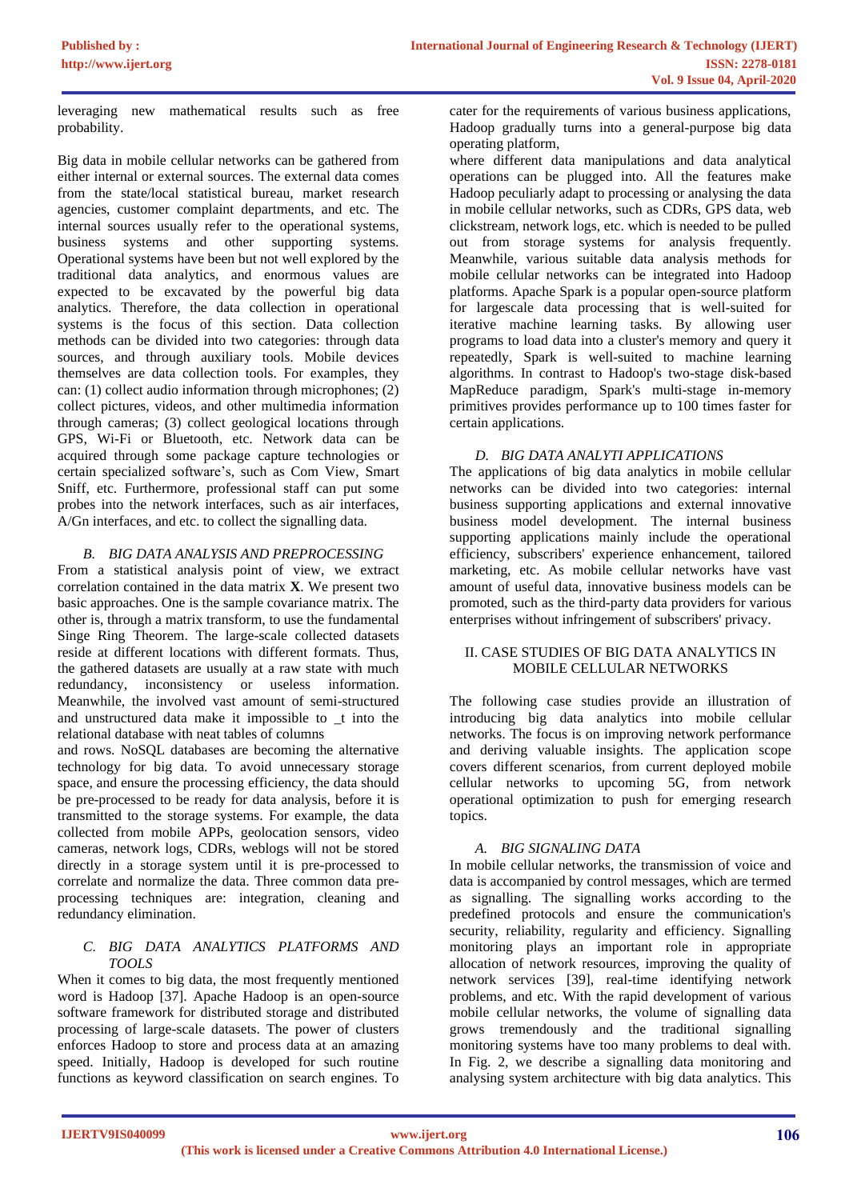leveraging new mathematical results such as free probability.

Big data in mobile cellular networks can be gathered from either internal or external sources. The external data comes from the state/local statistical bureau, market research agencies, customer complaint departments, and etc. The internal sources usually refer to the operational systems, business systems and other supporting systems. Operational systems have been but not well explored by the traditional data analytics, and enormous values are expected to be excavated by the powerful big data analytics. Therefore, the data collection in operational systems is the focus of this section. Data collection methods can be divided into two categories: through data sources, and through auxiliary tools. Mobile devices themselves are data collection tools. For examples, they can: (1) collect audio information through microphones; (2) collect pictures, videos, and other multimedia information through cameras; (3) collect geological locations through GPS, Wi-Fi or Bluetooth, etc. Network data can be acquired through some package capture technologies or certain specialized software's, such as Com View, Smart Sniff, etc. Furthermore, professional staff can put some probes into the network interfaces, such as air interfaces, A/Gn interfaces, and etc. to collect the signalling data.

# *B. BIG DATA ANALYSIS AND PREPROCESSING*

From a statistical analysis point of view, we extract correlation contained in the data matrix **X**. We present two basic approaches. One is the sample covariance matrix. The other is, through a matrix transform, to use the fundamental Singe Ring Theorem. The large-scale collected datasets reside at different locations with different formats. Thus, the gathered datasets are usually at a raw state with much redundancy, inconsistency or useless information. Meanwhile, the involved vast amount of semi-structured and unstructured data make it impossible to \_t into the relational database with neat tables of columns

and rows. NoSQL databases are becoming the alternative technology for big data. To avoid unnecessary storage space, and ensure the processing efficiency, the data should be pre-processed to be ready for data analysis, before it is transmitted to the storage systems. For example, the data collected from mobile APPs, geolocation sensors, video cameras, network logs, CDRs, weblogs will not be stored directly in a storage system until it is pre-processed to correlate and normalize the data. Three common data preprocessing techniques are: integration, cleaning and redundancy elimination.

## *C. BIG DATA ANALYTICS PLATFORMS AND TOOLS*

When it comes to big data, the most frequently mentioned word is Hadoop [37]. Apache Hadoop is an open-source software framework for distributed storage and distributed processing of large-scale datasets. The power of clusters enforces Hadoop to store and process data at an amazing speed. Initially, Hadoop is developed for such routine functions as keyword classification on search engines. To

cater for the requirements of various business applications, Hadoop gradually turns into a general-purpose big data operating platform,

where different data manipulations and data analytical operations can be plugged into. All the features make Hadoop peculiarly adapt to processing or analysing the data in mobile cellular networks, such as CDRs, GPS data, web clickstream, network logs, etc. which is needed to be pulled out from storage systems for analysis frequently. Meanwhile, various suitable data analysis methods for mobile cellular networks can be integrated into Hadoop platforms. Apache Spark is a popular open-source platform for largescale data processing that is well-suited for iterative machine learning tasks. By allowing user programs to load data into a cluster's memory and query it repeatedly, Spark is well-suited to machine learning algorithms. In contrast to Hadoop's two-stage disk-based MapReduce paradigm, Spark's multi-stage in-memory primitives provides performance up to 100 times faster for certain applications.

## *D. BIG DATA ANALYTI APPLICATIONS*

The applications of big data analytics in mobile cellular networks can be divided into two categories: internal business supporting applications and external innovative business model development. The internal business supporting applications mainly include the operational efficiency, subscribers' experience enhancement, tailored marketing, etc. As mobile cellular networks have vast amount of useful data, innovative business models can be promoted, such as the third-party data providers for various enterprises without infringement of subscribers' privacy.

## II. CASE STUDIES OF BIG DATA ANALYTICS IN MOBILE CELLULAR NETWORKS

The following case studies provide an illustration of introducing big data analytics into mobile cellular networks. The focus is on improving network performance and deriving valuable insights. The application scope covers different scenarios, from current deployed mobile cellular networks to upcoming 5G, from network operational optimization to push for emerging research topics.

# *A. BIG SIGNALING DATA*

In mobile cellular networks, the transmission of voice and data is accompanied by control messages, which are termed as signalling. The signalling works according to the predefined protocols and ensure the communication's security, reliability, regularity and efficiency. Signalling monitoring plays an important role in appropriate allocation of network resources, improving the quality of network services [39], real-time identifying network problems, and etc. With the rapid development of various mobile cellular networks, the volume of signalling data grows tremendously and the traditional signalling monitoring systems have too many problems to deal with. In Fig. 2, we describe a signalling data monitoring and analysing system architecture with big data analytics. This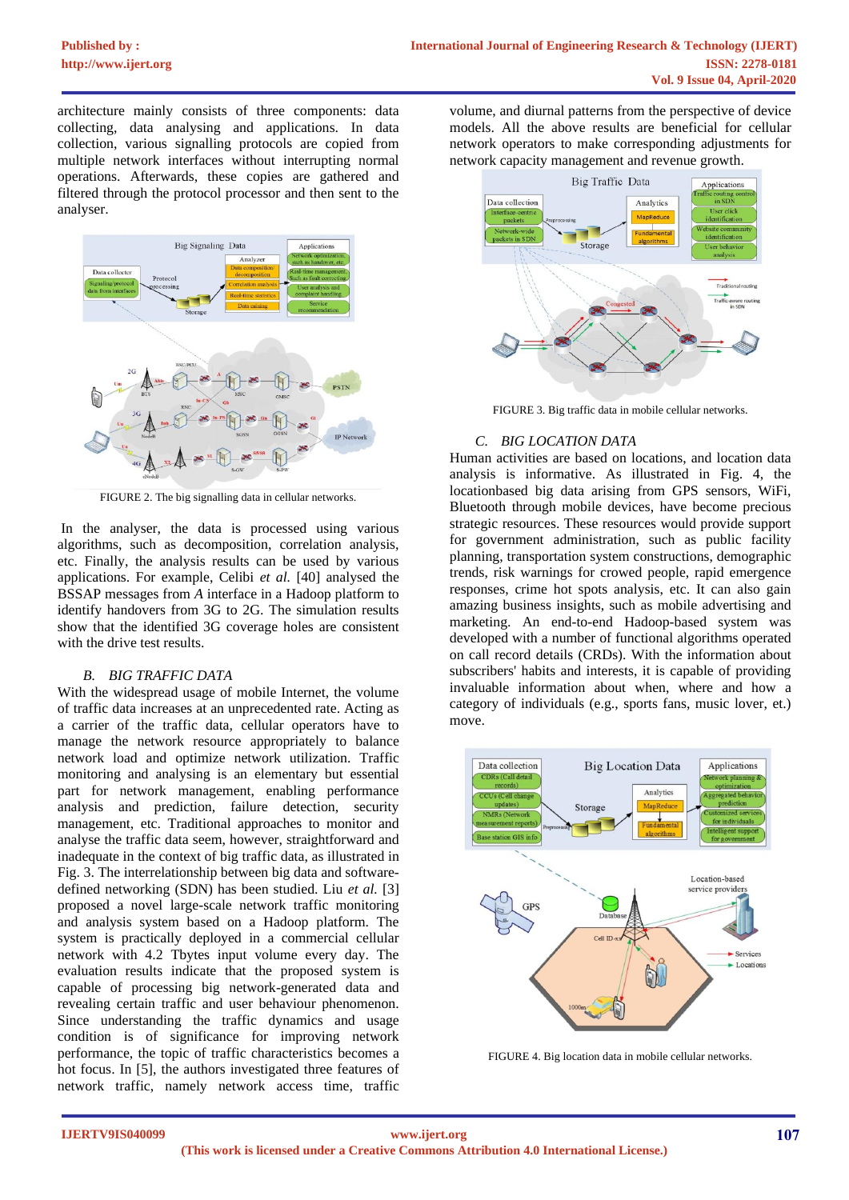architecture mainly consists of three components: data collecting, data analysing and applications. In data collection, various signalling protocols are copied from multiple network interfaces without interrupting normal operations. Afterwards, these copies are gathered and filtered through the protocol processor and then sent to the analyser.



FIGURE 2. The big signalling data in cellular networks.

 In the analyser, the data is processed using various algorithms, such as decomposition, correlation analysis, etc. Finally, the analysis results can be used by various applications. For example, Celibi *et al.* [40] analysed the BSSAP messages from *A* interface in a Hadoop platform to identify handovers from 3G to 2G. The simulation results show that the identified 3G coverage holes are consistent with the drive test results.

#### *B. BIG TRAFFIC DATA*

With the widespread usage of mobile Internet, the volume of traffic data increases at an unprecedented rate. Acting as a carrier of the traffic data, cellular operators have to manage the network resource appropriately to balance network load and optimize network utilization. Traffic monitoring and analysing is an elementary but essential part for network management, enabling performance analysis and prediction, failure detection, security management, etc. Traditional approaches to monitor and analyse the traffic data seem, however, straightforward and inadequate in the context of big traffic data, as illustrated in Fig. 3. The interrelationship between big data and softwaredefined networking (SDN) has been studied. Liu *et al.* [3] proposed a novel large-scale network traffic monitoring and analysis system based on a Hadoop platform. The system is practically deployed in a commercial cellular network with 4.2 Tbytes input volume every day. The evaluation results indicate that the proposed system is capable of processing big network-generated data and revealing certain traffic and user behaviour phenomenon. Since understanding the traffic dynamics and usage condition is of significance for improving network performance, the topic of traffic characteristics becomes a hot focus. In [5], the authors investigated three features of network traffic, namely network access time, traffic

volume, and diurnal patterns from the perspective of device models. All the above results are beneficial for cellular network operators to make corresponding adjustments for network capacity management and revenue growth.



FIGURE 3. Big traffic data in mobile cellular networks.

## *C. BIG LOCATION DATA*

Human activities are based on locations, and location data analysis is informative. As illustrated in Fig. 4, the locationbased big data arising from GPS sensors, WiFi, Bluetooth through mobile devices, have become precious strategic resources. These resources would provide support for government administration, such as public facility planning, transportation system constructions, demographic trends, risk warnings for crowed people, rapid emergence responses, crime hot spots analysis, etc. It can also gain amazing business insights, such as mobile advertising and marketing. An end-to-end Hadoop-based system was developed with a number of functional algorithms operated on call record details (CRDs). With the information about subscribers' habits and interests, it is capable of providing invaluable information about when, where and how a category of individuals (e.g., sports fans, music lover, et.) move.



FIGURE 4. Big location data in mobile cellular networks.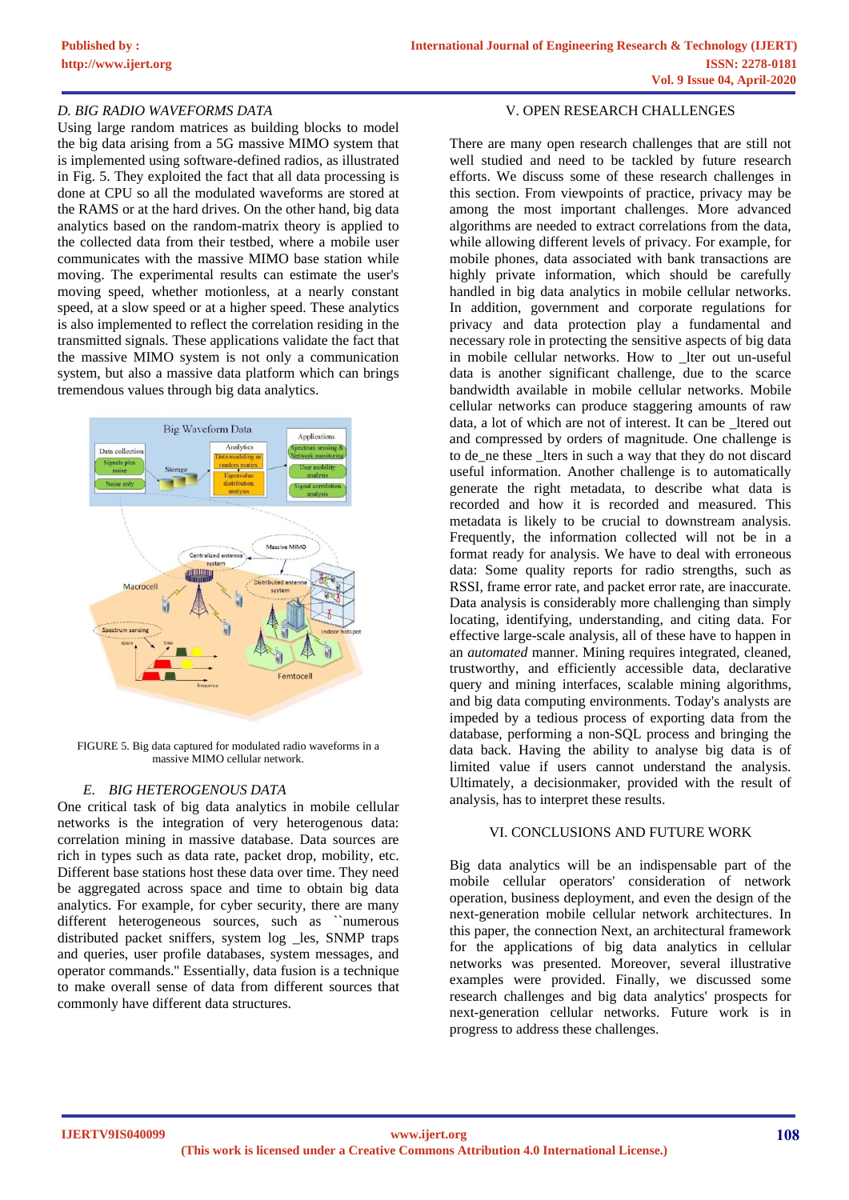## *D. BIG RADIO WAVEFORMS DATA*

Using large random matrices as building blocks to model the big data arising from a 5G massive MIMO system that is implemented using software-defined radios, as illustrated in Fig. 5. They exploited the fact that all data processing is done at CPU so all the modulated waveforms are stored at the RAMS or at the hard drives. On the other hand, big data analytics based on the random-matrix theory is applied to the collected data from their testbed, where a mobile user communicates with the massive MIMO base station while moving. The experimental results can estimate the user's moving speed, whether motionless, at a nearly constant speed, at a slow speed or at a higher speed. These analytics is also implemented to reflect the correlation residing in the transmitted signals. These applications validate the fact that the massive MIMO system is not only a communication system, but also a massive data platform which can brings tremendous values through big data analytics.



FIGURE 5. Big data captured for modulated radio waveforms in a massive MIMO cellular network.

## *E. BIG HETEROGENOUS DATA*

One critical task of big data analytics in mobile cellular networks is the integration of very heterogenous data: correlation mining in massive database. Data sources are rich in types such as data rate, packet drop, mobility, etc. Different base stations host these data over time. They need be aggregated across space and time to obtain big data analytics. For example, for cyber security, there are many different heterogeneous sources, such as ``numerous distributed packet sniffers, system log \_les, SNMP traps and queries, user profile databases, system messages, and operator commands.'' Essentially, data fusion is a technique to make overall sense of data from different sources that commonly have different data structures.

## V. OPEN RESEARCH CHALLENGES

There are many open research challenges that are still not well studied and need to be tackled by future research efforts. We discuss some of these research challenges in this section. From viewpoints of practice, privacy may be among the most important challenges. More advanced algorithms are needed to extract correlations from the data, while allowing different levels of privacy. For example, for mobile phones, data associated with bank transactions are highly private information, which should be carefully handled in big data analytics in mobile cellular networks. In addition, government and corporate regulations for privacy and data protection play a fundamental and necessary role in protecting the sensitive aspects of big data in mobile cellular networks. How to lter out un-useful data is another significant challenge, due to the scarce bandwidth available in mobile cellular networks. Mobile cellular networks can produce staggering amounts of raw data, a lot of which are not of interest. It can be \_ltered out and compressed by orders of magnitude. One challenge is to de ne these lters in such a way that they do not discard useful information. Another challenge is to automatically generate the right metadata, to describe what data is recorded and how it is recorded and measured. This metadata is likely to be crucial to downstream analysis. Frequently, the information collected will not be in a format ready for analysis. We have to deal with erroneous data: Some quality reports for radio strengths, such as RSSI, frame error rate, and packet error rate, are inaccurate. Data analysis is considerably more challenging than simply locating, identifying, understanding, and citing data. For effective large-scale analysis, all of these have to happen in an *automated* manner. Mining requires integrated, cleaned, trustworthy, and efficiently accessible data, declarative query and mining interfaces, scalable mining algorithms, and big data computing environments. Today's analysts are impeded by a tedious process of exporting data from the database, performing a non-SQL process and bringing the data back. Having the ability to analyse big data is of limited value if users cannot understand the analysis. Ultimately, a decisionmaker, provided with the result of analysis, has to interpret these results.

## VI. CONCLUSIONS AND FUTURE WORK

Big data analytics will be an indispensable part of the mobile cellular operators' consideration of network operation, business deployment, and even the design of the next-generation mobile cellular network architectures. In this paper, the connection Next, an architectural framework for the applications of big data analytics in cellular networks was presented. Moreover, several illustrative examples were provided. Finally, we discussed some research challenges and big data analytics' prospects for next-generation cellular networks. Future work is in progress to address these challenges.